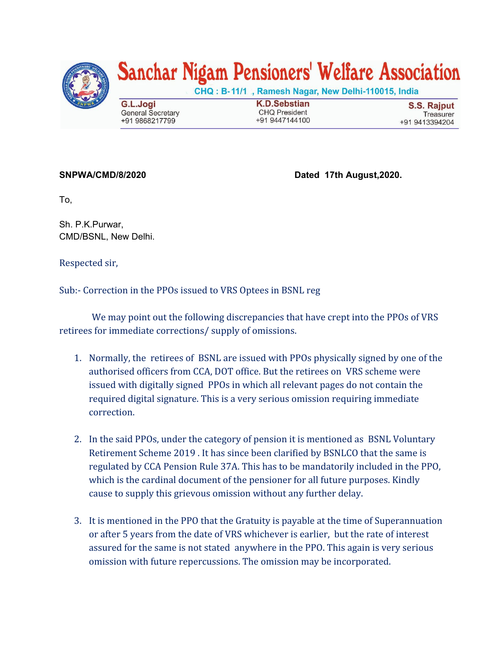

## Sanchar Nigam Pensioners' Welfare Association

CHQ: B-11/1, Ramesh Nagar, New Delhi-110015, India

G.L.Jogi **General Secretary** +91 9868217799

**K.D.Sebstian CHQ President** +91 9447144100

**S.S. Rajput** Treasurer +91 9413394204

**SNPWA/CMD/8/2020 Dated 17th August,2020.**

To,

Sh. P.K.Purwar, CMD/BSNL, New Delhi.

Respected sir,

Sub:- Correction in the PPOs issued to VRS Optees in BSNL reg

 We may point out the following discrepancies that have crept into the PPOs of VRS retirees for immediate corrections/ supply of omissions.

- 1. Normally, the retirees of BSNL are issued with PPOs physically signed by one of the authorised officers from CCA, DOT office. But the retirees on VRS scheme were issued with digitally signed PPOs in which all relevant pages do not contain the required digital signature. This is a very serious omission requiring immediate correction.
- 2. In the said PPOs, under the category of pension it is mentioned as BSNL Voluntary Retirement Scheme 2019 . It has since been clarified by BSNLCO that the same is regulated by CCA Pension Rule 37A. This has to be mandatorily included in the PPO, which is the cardinal document of the pensioner for all future purposes. Kindly cause to supply this grievous omission without any further delay.
- 3. It is mentioned in the PPO that the Gratuity is payable at the time of Superannuation or after 5 years from the date of VRS whichever is earlier, but the rate of interest assured for the same is not stated anywhere in the PPO. This again is very serious omission with future repercussions. The omission may be incorporated.